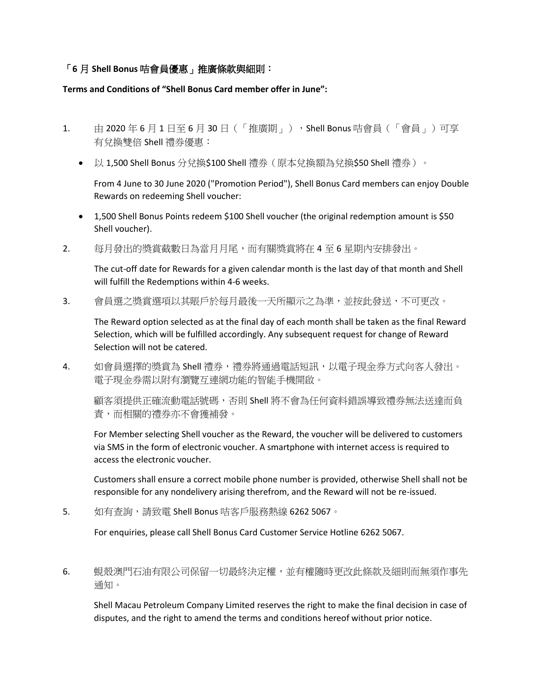## 「**6** 月 **Shell Bonus** 咭會員優惠」推廣條款與細則:

## **Terms and Conditions of "Shell Bonus Card member offer in June":**

- 1. 由 2020年 6 月 1 日至 6 月 30 日 (「推廣期」), Shell Bonus 咭會員 (「會員」) 可享 有兌換雙倍 Shell 禮券優惠:
	- 以 1,500 Shell Bonus 分兌換\$100 Shell 禮券 (原本兌換額為兌換\$50 Shell 禮券)。

From 4 June to 30 June 2020 ("Promotion Period"), Shell Bonus Card members can enjoy Double Rewards on redeeming Shell voucher:

- 1,500 Shell Bonus Points redeem \$100 Shell voucher (the original redemption amount is \$50 Shell voucher).
- 2. 每月發出的獎賞截數日為當月月尾,而有關獎賞將在 4 至 6 星期內安排發出。

The cut-off date for Rewards for a given calendar month is the last day of that month and Shell will fulfill the Redemptions within 4-6 weeks.

3. 會員選之獎賞選項以其賬戶於每月最後一天所顯示之為準,並按此發送,不可更改。

The Reward option selected as at the final day of each month shall be taken as the final Reward Selection, which will be fulfilled accordingly. Any subsequent request for change of Reward Selection will not be catered.

4. 如會員選擇的獎賞為 Shell 禮券,禮券將通過電話短訊,以電子現金券方式向客人發出。 電子現金券需以附有瀏覽互連網功能的智能手機開啟。

顧客須提供正確流動電話號碼,否則 Shell 將不會為任何資料錯誤導致禮券無法送達而負 責,而相關的禮券亦不會獲補發。

For Member selecting Shell voucher as the Reward, the voucher will be delivered to customers via SMS in the form of electronic voucher. A smartphone with internet access is required to access the electronic voucher.

Customers shall ensure a correct mobile phone number is provided, otherwise Shell shall not be responsible for any nondelivery arising therefrom, and the Reward will not be re-issued.

5. 如有查詢,請致電 Shell Bonus 咭客戶服務熱線 6262 5067。

For enquiries, please call Shell Bonus Card Customer Service Hotline 6262 5067.

6. 蜆殼澳門石油有限公司保留一切最終決定權,並有權隨時更改此條款及細則而無須作事先 通知。

Shell Macau Petroleum Company Limited reserves the right to make the final decision in case of disputes, and the right to amend the terms and conditions hereof without prior notice.